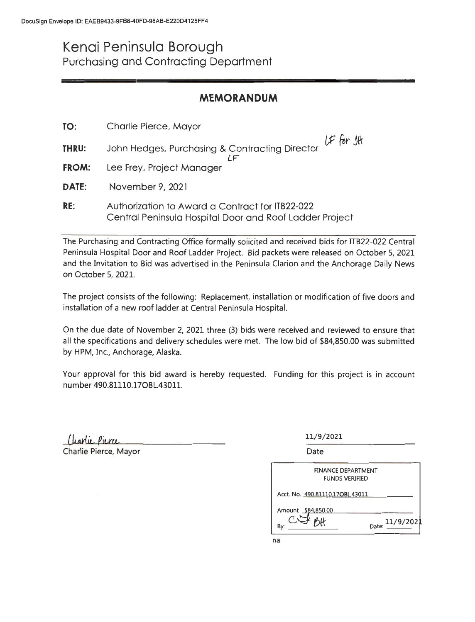## **Kenai Peninsula Borough**  Purchasing and Contracting Department

## **MEMORANDUM**

| TO:          | Charlie Pierce, Mayor                                                                                      |  |
|--------------|------------------------------------------------------------------------------------------------------------|--|
| THRU:        | LF for Jt<br>John Hedges, Purchasing & Contracting Director                                                |  |
| <b>FROM:</b> | Lee Frey, Project Manager                                                                                  |  |
| DATE:        | November 9, 2021                                                                                           |  |
| RE:          | Authorization to Award a Contract for ITB22-022<br>Central Peninsula Hospital Door and Roof Ladder Project |  |

The Purchasing and Contracting Office formally solicited and received bids for TTB22-022 Central Peninsula Hospital Door and Roof Ladder Project. Bid packets were released on October 5, 2021 and the Invitation to Bid was advertised in the Peninsula Clarion and the Anchorage Daily News on October 5, 2021.

The project consists of the following: Replacement, installation or modification of five doors and installation of a new roof ladder at Central Peninsula Hospital.

On the due date of November 2, 2021 three (3) bids were received and reviewed to ensure that all the specifications and delivery schedules were met. The low bid of \$84,850.00 was submitted by HPM, Inc., Anchorage, Alaska.

Your approval for this bid award is hereby requested. Funding for this project is in account number 490.81110.17OBL.43011.

Charlie Pierce

Charlie Pierce, Mayor

11/9/2021

Date

| <b>FINANCE DEPARTMENT</b><br><b>FUNDS VERIFIED</b> |                    |
|----------------------------------------------------|--------------------|
| Acct. No. 490.811 10.17OBL.43011                   |                    |
| Amount \$84,850.00                                 |                    |
| Bv:                                                | 11/9/2023<br>Date: |

na